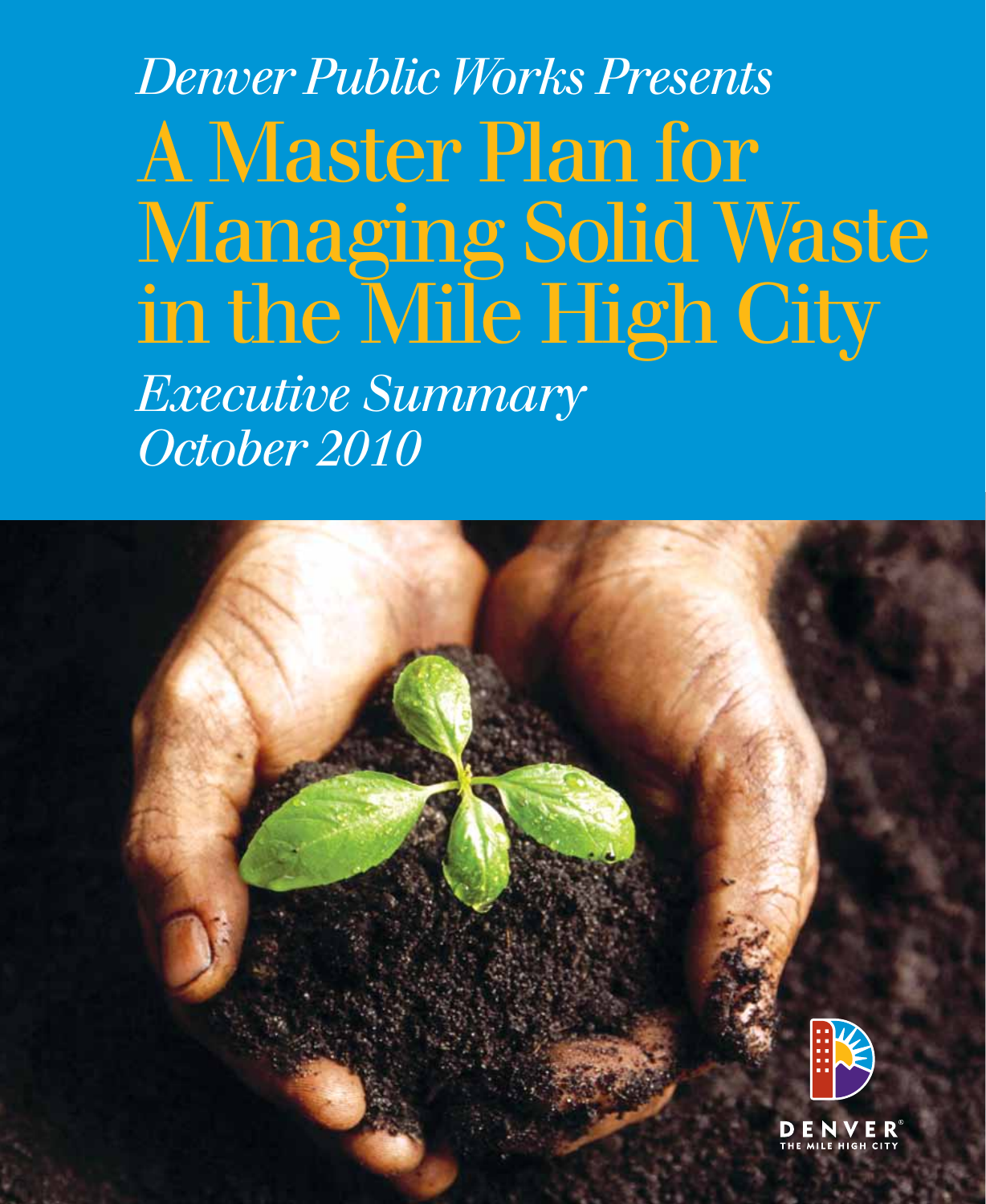# *Denver Public Works Presents* A Master Plan for Managing Solid Waste in the Mile High City

*Executive Summary October 2010*

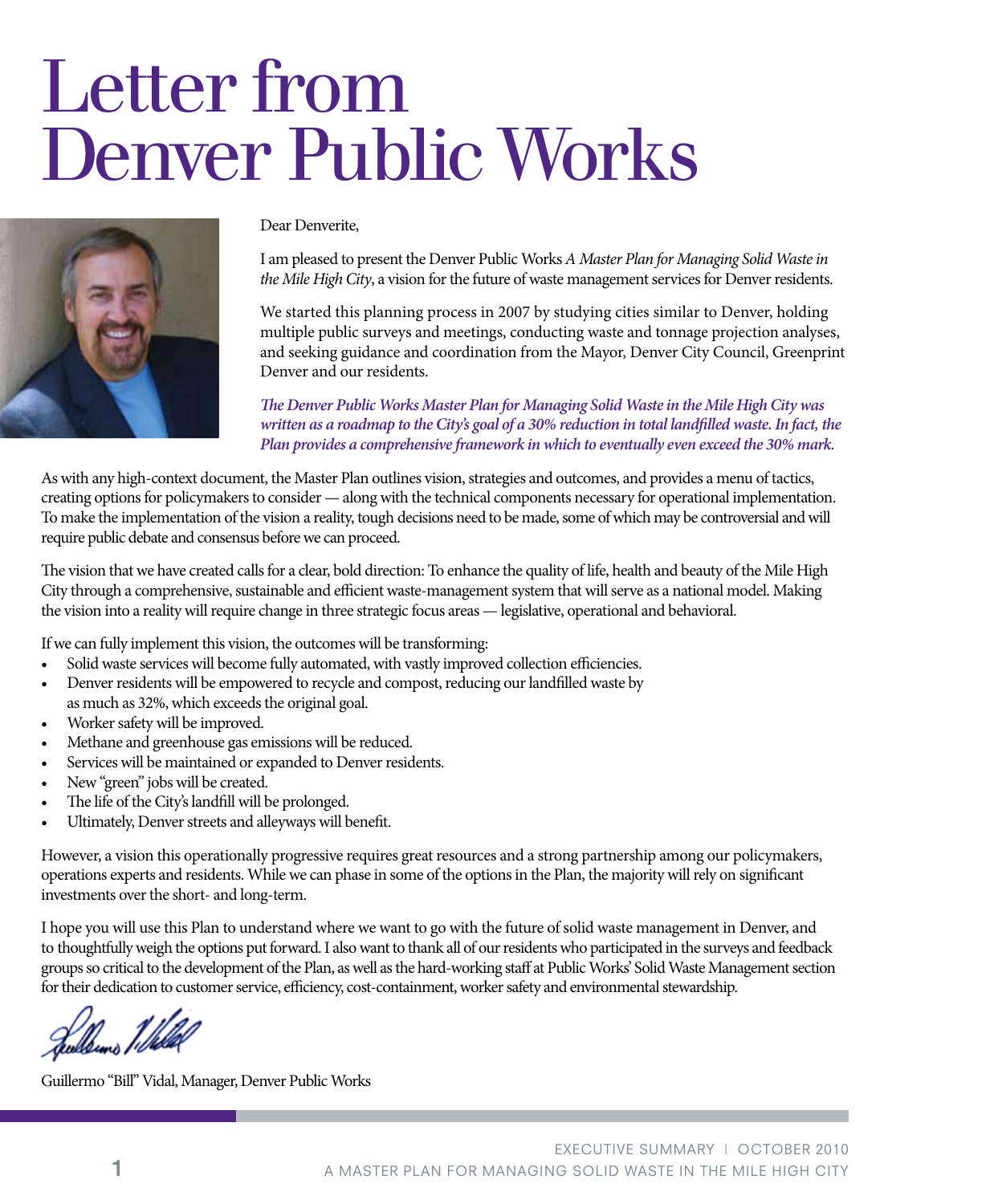# Letter from Denver Public Works



#### Dear Denverite,

I am pleased to present the Denver Public Works *A Master Plan for Managing Solid Waste in the Mile High City*, a vision for the future of waste management services for Denver residents.

We started this planning process in 2007 by studying cities similar to Denver, holding multiple public surveys and meetings, conducting waste and tonnage projection analyses, and seeking guidance and coordination from the Mayor, Denver City Council, Greenprint Denver and our residents.

*The Denver Public Works Master Plan for Managing Solid Waste in the Mile High City was written as a roadmap to the City's goal of a 30% reduction in total landfilled waste. In fact, the Plan provides a comprehensive framework in which to eventually even exceed the 30% mark.*

As with any high-context document, the Master Plan outlines vision, strategies and outcomes, and provides a menu of tactics, creating options for policymakers to consider — along with the technical components necessary for operational implementation. To make the implementation of the vision a reality, tough decisions need to be made, some of which may be controversial and will require public debate and consensus before we can proceed.

The vision that we have created calls for a clear, bold direction: To enhance the quality of life, health and beauty of the Mile High City through a comprehensive, sustainable and efficient waste-management system that will serve as a national model. Making the vision into a reality will require change in three strategic focus areas — legislative, operational and behavioral.

If we can fully implement this vision, the outcomes will be transforming:

- Solid waste services will become fully automated, with vastly improved collection efficiencies.
- Denver residents will be empowered to recycle and compost, reducing our landfilled waste by as much as 32%, which exceeds the original goal.
- Worker safety will be improved.
- Methane and greenhouse gas emissions will be reduced.
- Services will be maintained or expanded to Denver residents.
- New "green" jobs will be created.
- The life of the City's landfill will be prolonged.
- Ultimately, Denver streets and alleyways will benefit.

However, a vision this operationally progressive requires great resources and a strong partnership among our policymakers, operations experts and residents. While we can phase in some of the options in the Plan, the majority will rely on significant investments over the short- and long-term.

I hope you will use this Plan to understand where we want to go with the future of solid waste management in Denver, and to thoughtfully weigh the options put forward. I also want to thank all of our residents who participated in the surveys and feedback groups so critical to the development of the Plan, as well as the hard-working staff at Public Works' Solid Waste Management section for their dedication to customer service, efficiency, cost-containment, worker safety and environmental stewardship.

Guillermo "Bill" Vidal, Manager, Denver Public Works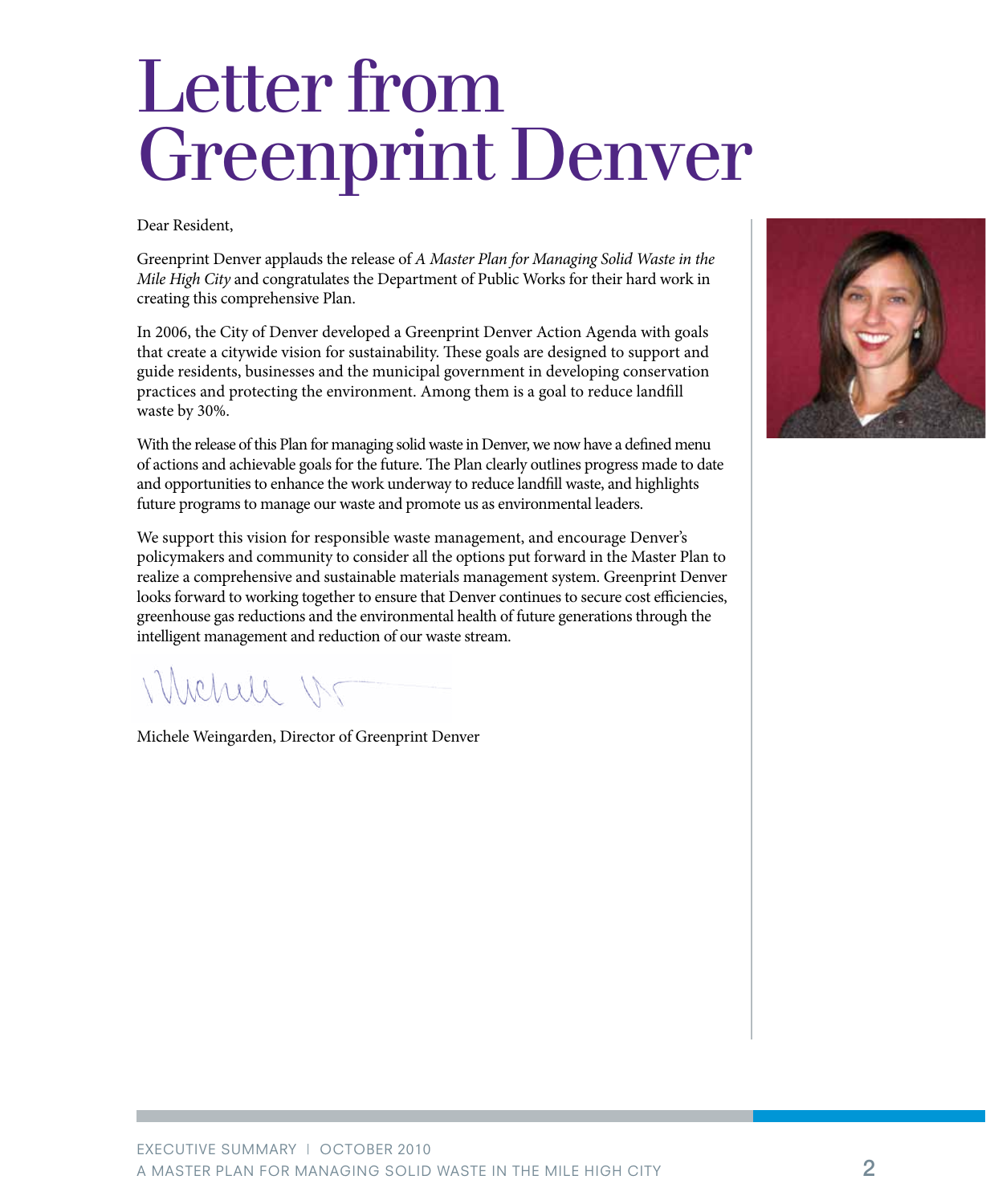# Letter from Greenprint Denver

Dear Resident,

Greenprint Denver applauds the release of *A Master Plan for Managing Solid Waste in the Mile High City* and congratulates the Department of Public Works for their hard work in creating this comprehensive Plan.

In 2006, the City of Denver developed a Greenprint Denver Action Agenda with goals that create a citywide vision for sustainability. These goals are designed to support and guide residents, businesses and the municipal government in developing conservation practices and protecting the environment. Among them is a goal to reduce landfill waste by 30%.

With the release of this Plan for managing solid waste in Denver, we now have a defined menu of actions and achievable goals for the future. The Plan clearly outlines progress made to date and opportunities to enhance the work underway to reduce landfill waste, and highlights future programs to manage our waste and promote us as environmental leaders.

We support this vision for responsible waste management, and encourage Denver's policymakers and community to consider all the options put forward in the Master Plan to realize a comprehensive and sustainable materials management system. Greenprint Denver looks forward to working together to ensure that Denver continues to secure cost efficiencies, greenhouse gas reductions and the environmental health of future generations through the intelligent management and reduction of our waste stream.

Whehele W

Michele Weingarden, Director of Greenprint Denver

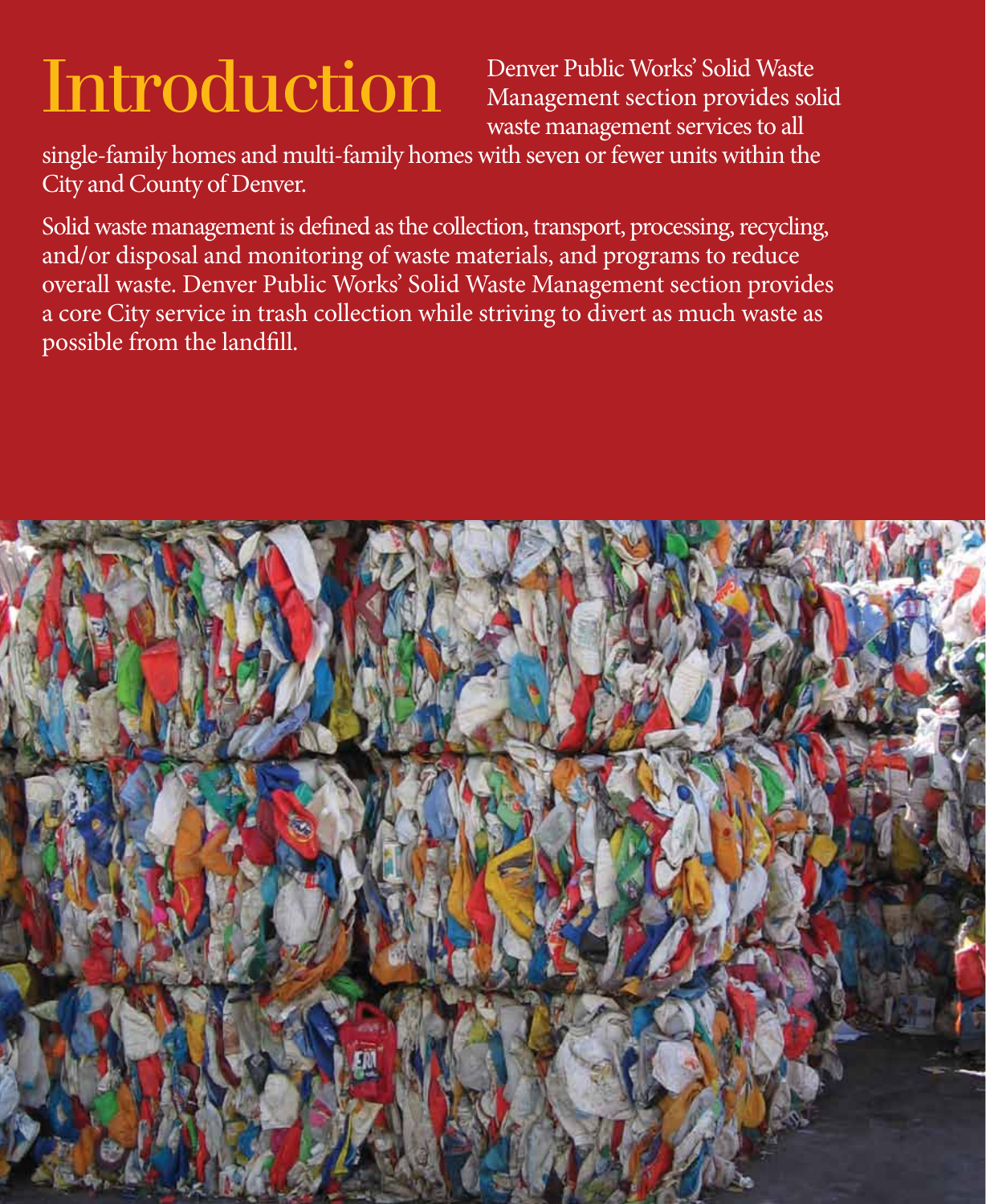# Introduction

Denver Public Works' Solid Waste Management section provides solid waste management services to all

single-family homes and multi-family homes with seven or fewer units within the City and County of Denver.

Solid waste management is defined as the collection, transport, processing, recycling, and/or disposal and monitoring of waste materials, and programs to reduce overall waste. Denver Public Works' Solid Waste Management section provides a core City service in trash collection while striving to divert as much waste as possible from the landfill.

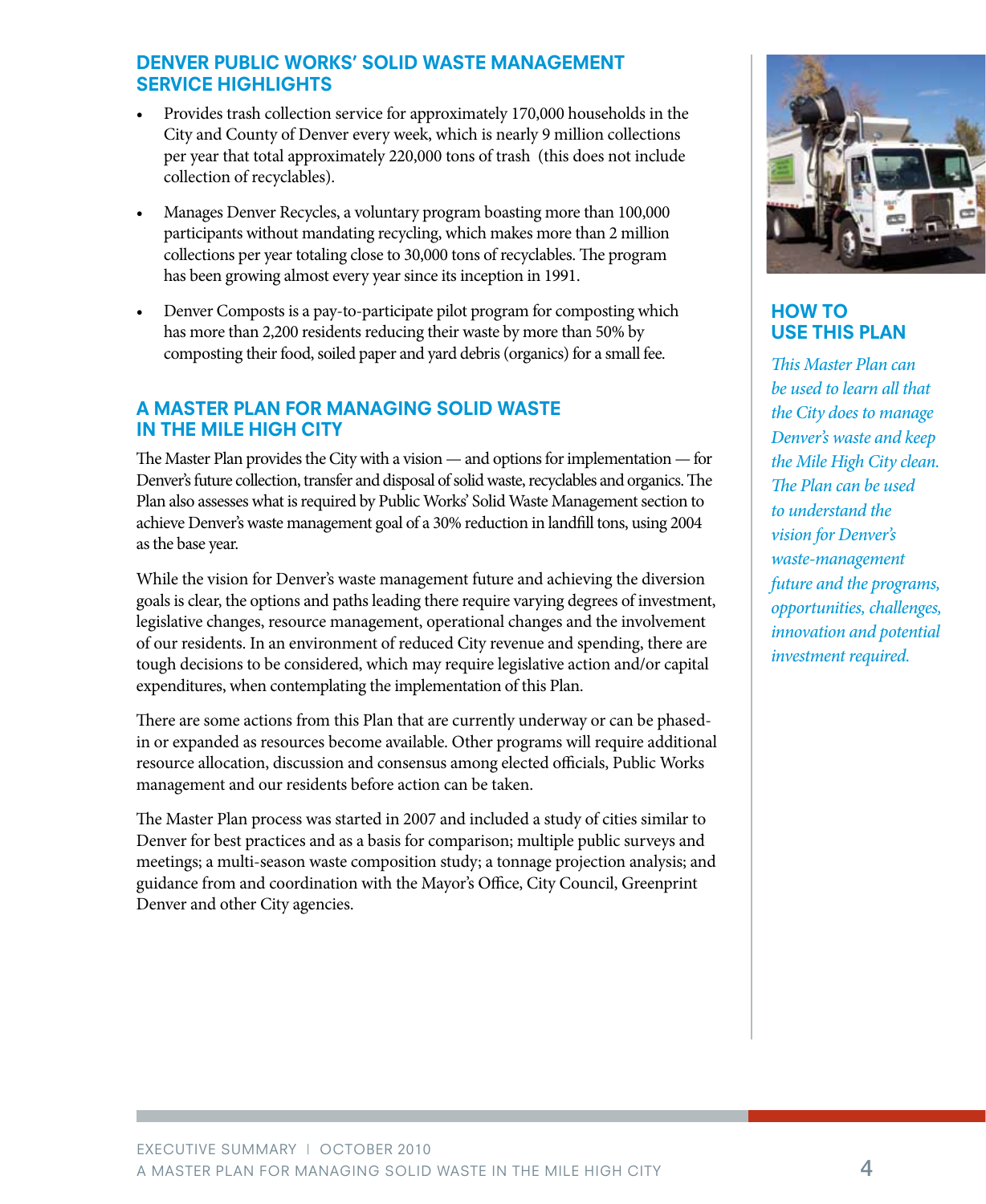#### DENVER PUBLIC WORKS' SOLID WASTE MANAGEMENT SERVICE HIGHLIGHTS

- Provides trash collection service for approximately 170,000 households in the City and County of Denver every week, which is nearly 9 million collections per year that total approximately 220,000 tons of trash (this does not include collection of recyclables).
- Manages Denver Recycles, a voluntary program boasting more than 100,000 participants without mandating recycling, which makes more than 2 million collections per year totaling close to 30,000 tons of recyclables. The program has been growing almost every year since its inception in 1991.
- Denver Composts is a pay-to-participate pilot program for composting which has more than 2,200 residents reducing their waste by more than 50% by composting their food, soiled paper and yard debris (organics) for a small fee.

#### A MASTER PLAN FOR MANAGING SOLID WASTE IN THE MILE HIGH CITY

The Master Plan provides the City with a vision — and options for implementation — for Denver's future collection, transfer and disposal of solid waste, recyclables and organics. The Plan also assesses what is required by Public Works' Solid Waste Management section to achieve Denver's waste management goal of a 30% reduction in landfill tons, using 2004 as the base year.

While the vision for Denver's waste management future and achieving the diversion goals is clear, the options and paths leading there require varying degrees of investment, legislative changes, resource management, operational changes and the involvement of our residents. In an environment of reduced City revenue and spending, there are tough decisions to be considered, which may require legislative action and/or capital expenditures, when contemplating the implementation of this Plan.

There are some actions from this Plan that are currently underway or can be phasedin or expanded as resources become available. Other programs will require additional resource allocation, discussion and consensus among elected officials, Public Works management and our residents before action can be taken.

The Master Plan process was started in 2007 and included a study of cities similar to Denver for best practices and as a basis for comparison; multiple public surveys and meetings; a multi-season waste composition study; a tonnage projection analysis; and guidance from and coordination with the Mayor's Office, City Council, Greenprint Denver and other City agencies.



#### How To Use This Plan

*This Master Plan can be used to learn all that the City does to manage Denver's waste and keep the Mile High City clean. The Plan can be used to understand the vision for Denver's waste-management future and the programs, opportunities, challenges, innovation and potential investment required.*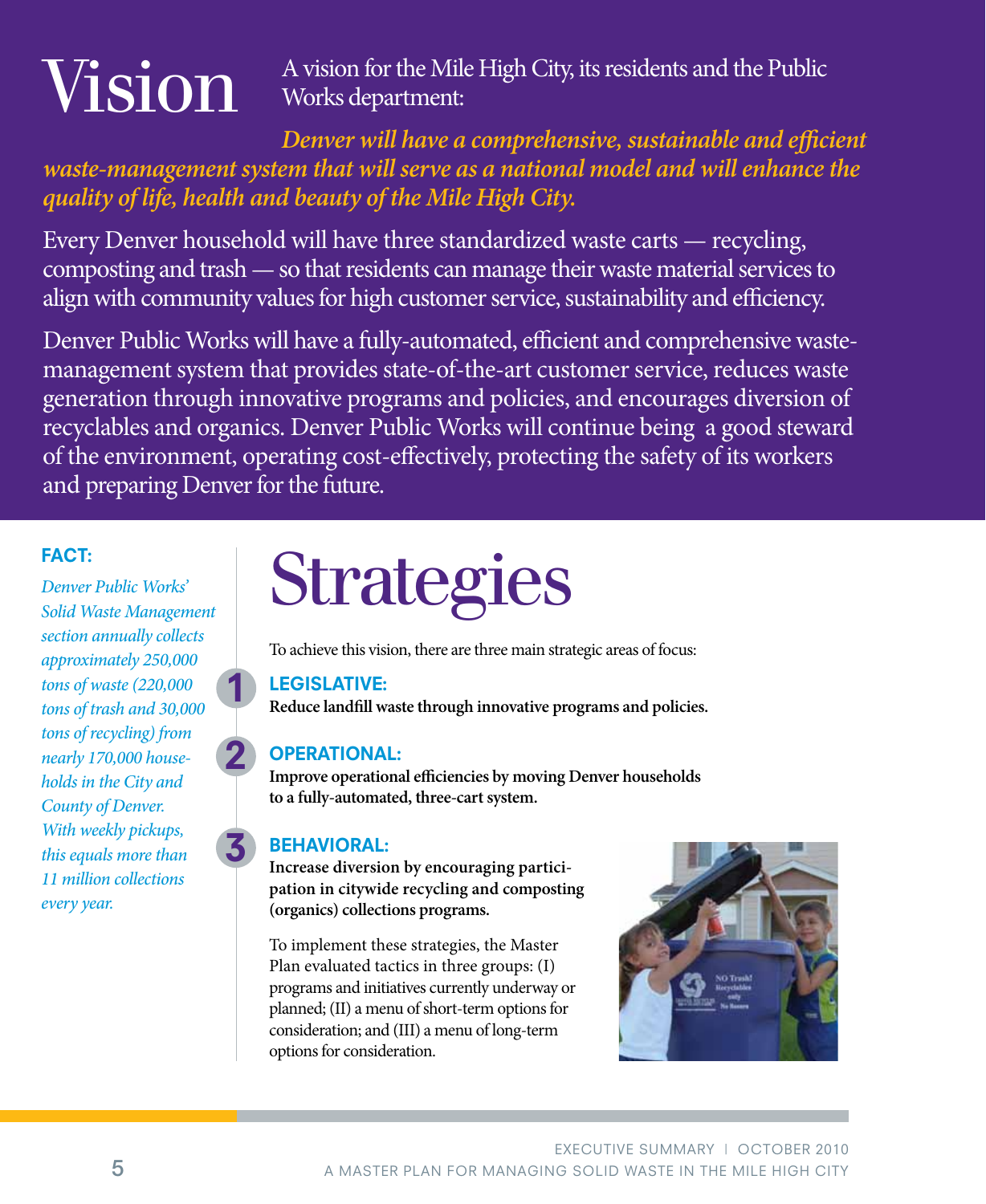# Vision

A vision for the Mile High City, its residents and the Public Works department:

## *Denver will have a comprehensive, sustainable and efficient waste-management system that will serve as a national model and will enhance the quality of life, health and beauty of the Mile High City.*

Every Denver household will have three standardized waste carts — recycling, composting and trash — so that residents can manage their waste material services to align with community values for high customer service, sustainability and efficiency.

Denver Public Works will have a fully-automated, efficient and comprehensive wastemanagement system that provides state-of-the-art customer service, reduces waste generation through innovative programs and policies, and encourages diversion of recyclables and organics. Denver Public Works will continue being a good steward of the environment, operating cost-effectively, protecting the safety of its workers and preparing Denver for the future.

### FACT:

*Denver Public Works' Solid Waste Management section annually collects approximately 250,000 tons of waste (220,000 tons of trash and 30,000 tons of recycling) from nearly 170,000 households in the City and County of Denver. With weekly pickups, this equals more than 11 million collections every year.*

# **Strategies**

To achieve this vision, there are three main strategic areas of focus:

#### LEGISLATIVE:

**Reduce landfill waste through innovative programs and policies.**

### OPERATIONAL:

2

1

3

**Improve operational efficiencies by moving Denver households to a fully-automated, three-cart system.**

#### BEHAVIORAL:

**Increase diversion by encouraging participation in citywide recycling and composting (organics) collections programs.**

To implement these strategies, the Master Plan evaluated tactics in three groups: (I) programs and initiatives currently underway or planned; (II) a menu of short-term options for consideration; and (III) a menu of long-term options for consideration.

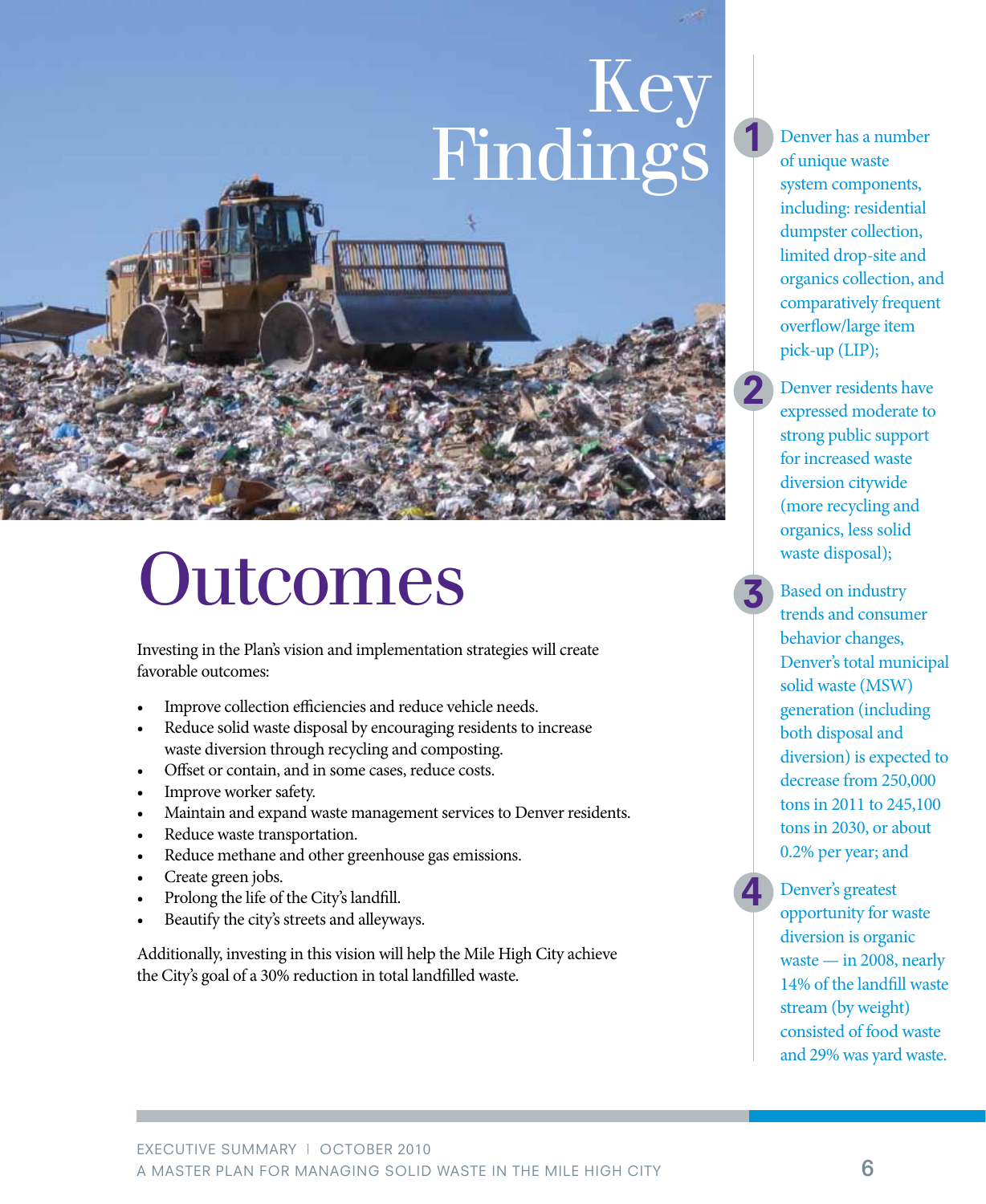# Key Findings



# **Outcomes**

Investing in the Plan's vision and implementation strategies will create favorable outcomes:

- Improve collection efficiencies and reduce vehicle needs.
- Reduce solid waste disposal by encouraging residents to increase waste diversion through recycling and composting.
- Offset or contain, and in some cases, reduce costs.
- Improve worker safety.
- Maintain and expand waste management services to Denver residents.
- Reduce waste transportation.
- Reduce methane and other greenhouse gas emissions.
- Create green jobs.
- Prolong the life of the City's landfill.
- Beautify the city's streets and alleyways.

Additionally, investing in this vision will help the Mile High City achieve the City's goal of a 30% reduction in total landfilled waste.

Denver has a number of unique waste system components, including: residential dumpster collection, limited drop-site and organics collection, and comparatively frequent overflow/large item pick-up (LIP);

Denver residents have expressed moderate to strong public support for increased waste diversion citywide (more recycling and organics, less solid waste disposal);

Based on industry trends and consumer behavior changes, Denver's total municipal solid waste (MSW) generation (including both disposal and diversion) is expected to decrease from 250,000 tons in 2011 to 245,100 tons in 2030, or about 0.2% per year; and

4

2

1

3

Denver's greatest opportunity for waste diversion is organic waste — in 2008, nearly 14% of the landfill waste stream (by weight) consisted of food waste and 29% was yard waste.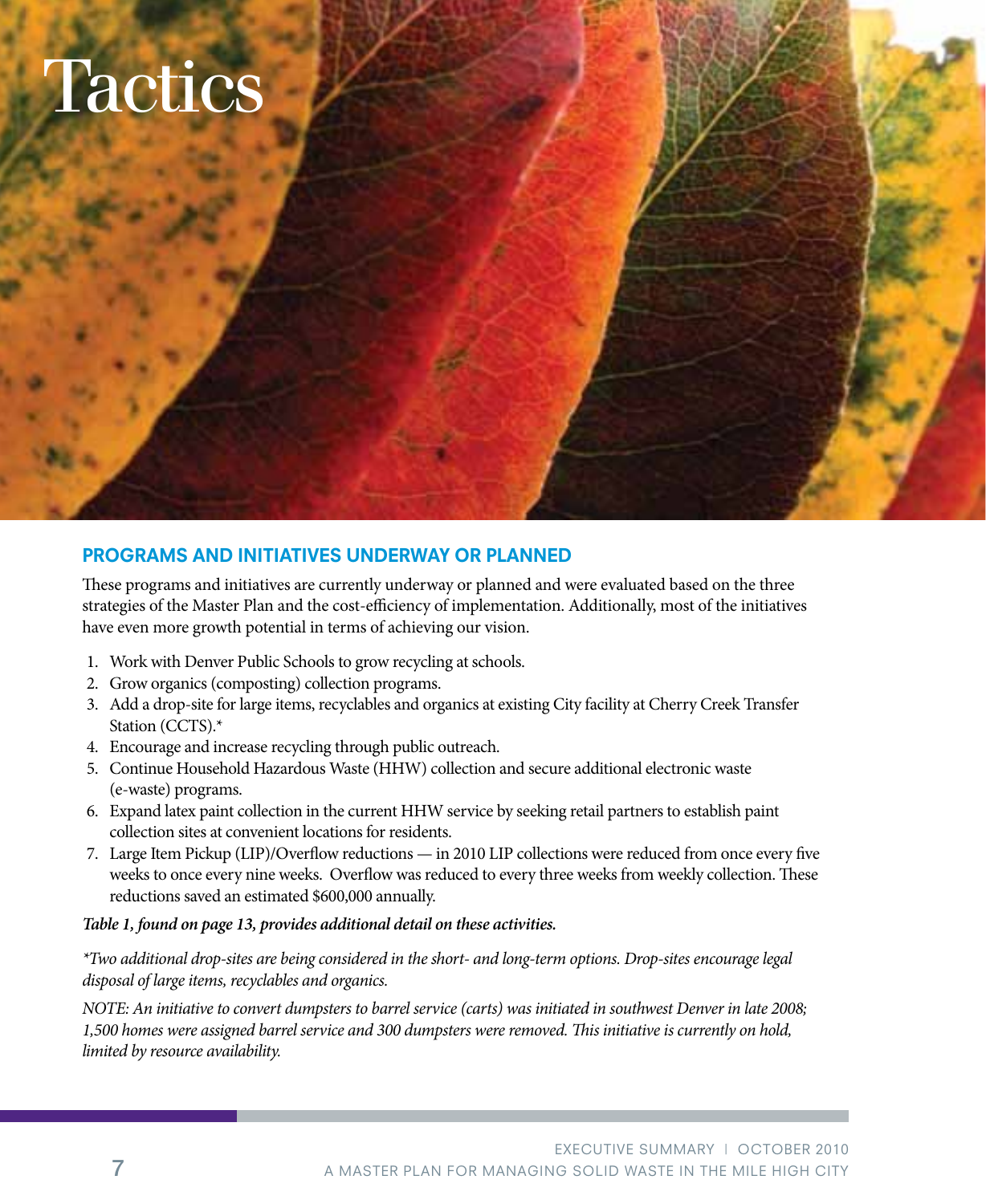# **Tactics**



These programs and initiatives are currently underway or planned and were evaluated based on the three strategies of the Master Plan and the cost-efficiency of implementation. Additionally, most of the initiatives have even more growth potential in terms of achieving our vision.

- 1. Work with Denver Public Schools to grow recycling at schools.
- 2. Grow organics (composting) collection programs.
- 3. Add a drop-site for large items, recyclables and organics at existing City facility at Cherry Creek Transfer Station (CCTS).\*
- 4. Encourage and increase recycling through public outreach.
- 5. Continue Household Hazardous Waste (HHW) collection and secure additional electronic waste (e-waste) programs.
- 6. Expand latex paint collection in the current HHW service by seeking retail partners to establish paint collection sites at convenient locations for residents.
- 7. Large Item Pickup (LIP)/Overflow reductions in 2010 LIP collections were reduced from once every five weeks to once every nine weeks. Overflow was reduced to every three weeks from weekly collection. These reductions saved an estimated \$600,000 annually.

#### *Table 1, found on page 13, provides additional detail on these activities.*

*\*Two additional drop-sites are being considered in the short- and long-term options. Drop-sites encourage legal disposal of large items, recyclables and organics.* 

*NOTE: An initiative to convert dumpsters to barrel service (carts) was initiated in southwest Denver in late 2008; 1,500 homes were assigned barrel service and 300 dumpsters were removed. This initiative is currently on hold, limited by resource availability.*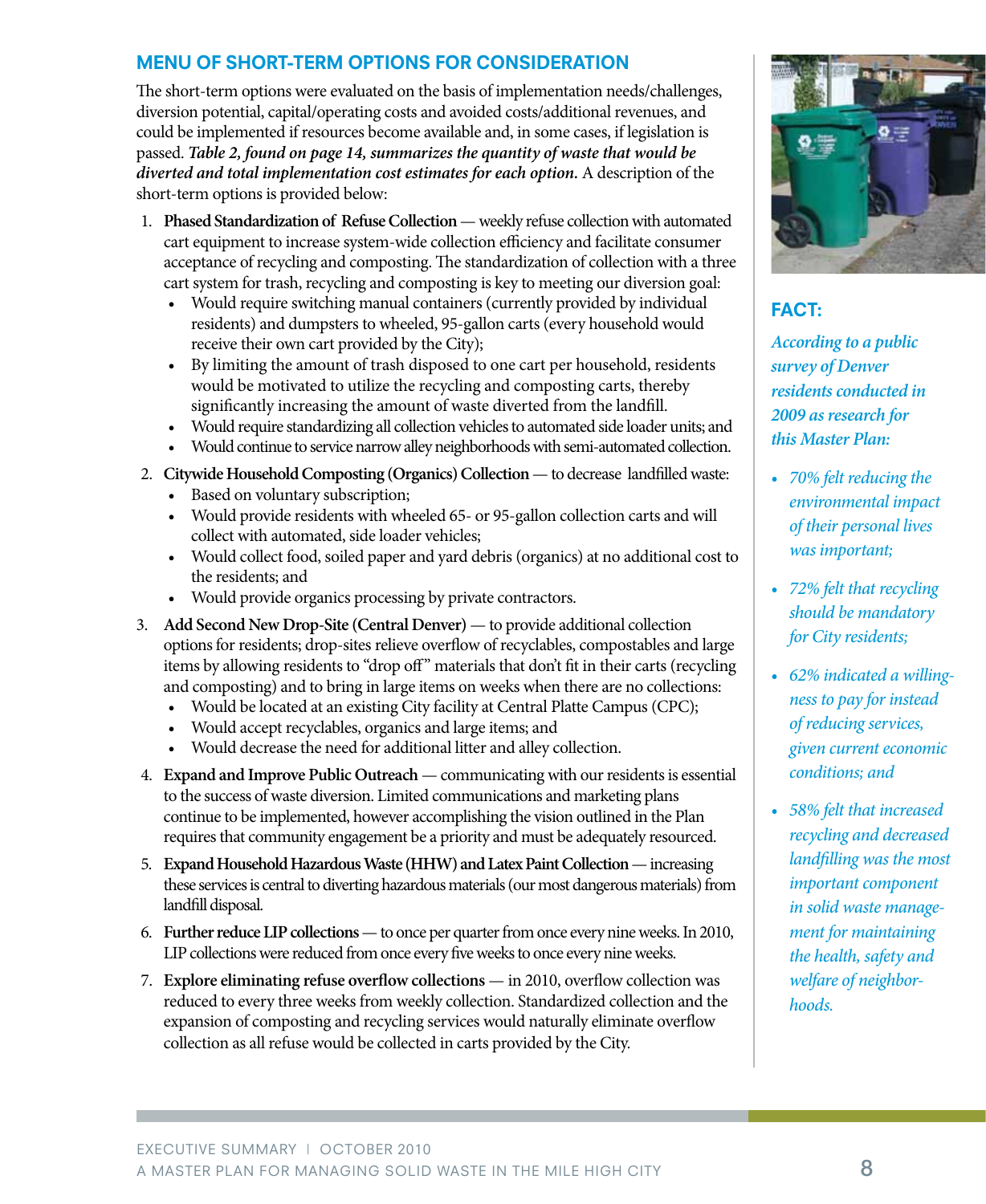#### MENU OF SHORT-TERM OPTIONS FOR CONSIDERATION

The short-term options were evaluated on the basis of implementation needs/challenges, diversion potential, capital/operating costs and avoided costs/additional revenues, and could be implemented if resources become available and, in some cases, if legislation is passed. *Table 2, found on page 14, summarizes the quantity of waste that would be diverted and total implementation cost estimates for each option.* A description of the short-term options is provided below:

- 1. **Phased Standardization of Refuse Collection** weekly refuse collection with automated cart equipment to increase system-wide collection efficiency and facilitate consumer acceptance of recycling and composting. The standardization of collection with a three cart system for trash, recycling and composting is key to meeting our diversion goal:
	- Would require switching manual containers (currently provided by individual residents) and dumpsters to wheeled, 95-gallon carts (every household would receive their own cart provided by the City);
	- By limiting the amount of trash disposed to one cart per household, residents would be motivated to utilize the recycling and composting carts, thereby significantly increasing the amount of waste diverted from the landfill.
	- Would require standardizing all collection vehicles to automated side loader units; and
	- Would continue to service narrow alley neighborhoods with semi-automated collection.
- 2. **Citywide Household Composting (Organics) Collection** to decrease landfilled waste:
	- Based on voluntary subscription;
	- Would provide residents with wheeled 65- or 95-gallon collection carts and will collect with automated, side loader vehicles;
	- Would collect food, soiled paper and yard debris (organics) at no additional cost to the residents; and
	- Would provide organics processing by private contractors.
- 3. **Add Second New Drop-Site (Central Denver)**  to provide additional collection options for residents; drop-sites relieve overflow of recyclables, compostables and large items by allowing residents to "drop off" materials that don't fit in their carts (recycling and composting) and to bring in large items on weeks when there are no collections:
	- Would be located at an existing City facility at Central Platte Campus (CPC);
	- Would accept recyclables, organics and large items; and
	- Would decrease the need for additional litter and alley collection.
- 4. **Expand and Improve Public Outreach** communicating with our residents is essential to the success of waste diversion. Limited communications and marketing plans continue to be implemented, however accomplishing the vision outlined in the Plan requires that community engagement be a priority and must be adequately resourced.
- 5. **Expand Household Hazardous Waste (HHW) and Latex Paint Collection**  increasing these services is central to diverting hazardous materials (our most dangerous materials) from landfill disposal.
- 6. **Further reduce LIP collections**  to once per quarter from once every nine weeks. In 2010, LIP collections were reduced from once every five weeks to once every nine weeks.
- 7. **Explore eliminating refuse overflow collections** in 2010, overflow collection was reduced to every three weeks from weekly collection. Standardized collection and the expansion of composting and recycling services would naturally eliminate overflow collection as all refuse would be collected in carts provided by the City.



## FACT:

*According to a public survey of Denver residents conducted in 2009 as research for this Master Plan:*

- *• 70% felt reducing the environmental impact of their personal lives was important;*
- *• 72% felt that recycling should be mandatory for City residents;*
- *• 62% indicated a willingness to pay for instead of reducing services, given current economic conditions; and*
- *• 58% felt that increased recycling and decreased landfilling was the most important component in solid waste management for maintaining the health, safety and welfare of neighborhoods.*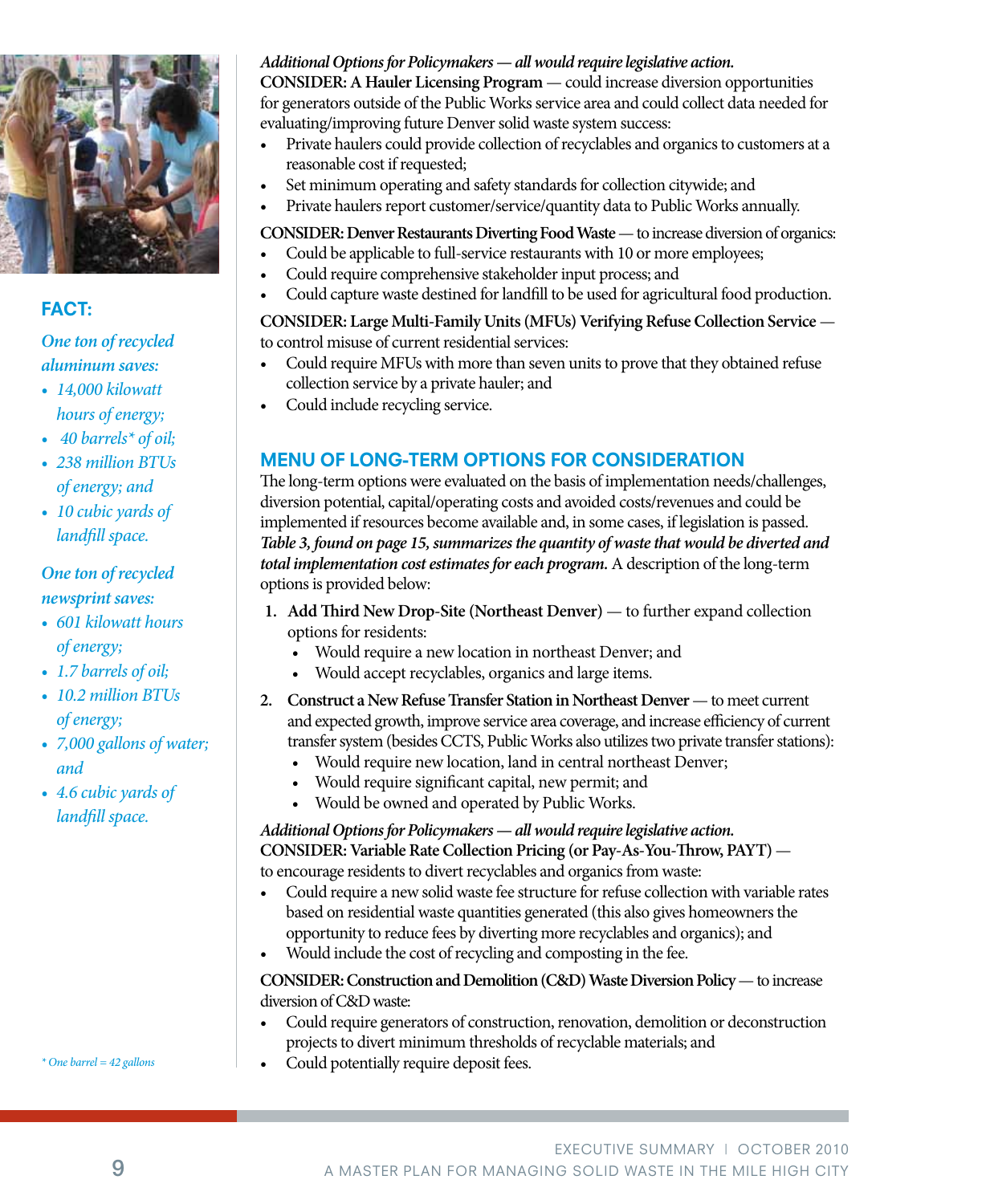

#### FACT:

#### *One ton of recycled aluminum saves:*

- *• 14,000 kilowatt hours of energy;*
- *40 barrels\* of oil;*
- *• 238 million BTUs of energy; and*
- *• 10 cubic yards of landfill space.*

#### *One ton of recycled newsprint saves:*

- *• 601 kilowatt hours of energy;*
- *• 1.7 barrels of oil;*
- *• 10.2 million BTUs of energy;*
- *• 7,000 gallons of water; and*
- *• 4.6 cubic yards of landfill space.*

### *Additional Options for Policymakers — all would require legislative action.*

**CONSIDER: A Hauler Licensing Program** — could increase diversion opportunities for generators outside of the Public Works service area and could collect data needed for evaluating/improving future Denver solid waste system success:

- Private haulers could provide collection of recyclables and organics to customers at a reasonable cost if requested;
- Set minimum operating and safety standards for collection citywide; and
- Private haulers report customer/service/quantity data to Public Works annually.

### **CONSIDER: Denver Restaurants Diverting Food Waste** — to increase diversion of organics:

- Could be applicable to full-service restaurants with 10 or more employees;
- Could require comprehensive stakeholder input process; and
- Could capture waste destined for landfill to be used for agricultural food production.

#### **CONSIDER: Large Multi-Family Units (MFUs) Verifying Refuse Collection Service** to control misuse of current residential services:

- Could require MFUs with more than seven units to prove that they obtained refuse collection service by a private hauler; and
- Could include recycling service.

## MENU OF LONG-TERM OPTIONS FOR CONSIDERATION

The long-term options were evaluated on the basis of implementation needs/challenges, diversion potential, capital/operating costs and avoided costs/revenues and could be implemented if resources become available and, in some cases, if legislation is passed. *Table 3, found on page 15, summarizes the quantity of waste that would be diverted and total implementation cost estimates for each program.*A description of the long-term options is provided below:

- **1. Add Third New Drop-Site (Northeast Denver)**  to further expand collection options for residents:
	- Would require a new location in northeast Denver; and
	- Would accept recyclables, organics and large items.
- 2. Construct a New Refuse Transfer Station in Northeast Denver to meet current and expected growth, improve service area coverage, and increase efficiency of current transfer system (besides CCTS, Public Works also utilizes two private transfer stations):
	- Would require new location, land in central northeast Denver;
	- Would require significant capital, new permit; and
	- Would be owned and operated by Public Works.

#### *Additional Options for Policymakers — all would require legislative action.* **CONSIDER: Variable Rate Collection Pricing (or Pay-As-You-Throw, PAYT)**  to encourage residents to divert recyclables and organics from waste:

- Could require a new solid waste fee structure for refuse collection with variable rates based on residential waste quantities generated (this also gives homeowners the opportunity to reduce fees by diverting more recyclables and organics); and
- Would include the cost of recycling and composting in the fee.

#### **CONSIDER: Construction and Demolition (C&D) Waste Diversion Policy** — to increase diversion of C&D waste:

- Could require generators of construction, renovation, demolition or deconstruction projects to divert minimum thresholds of recyclable materials; and
- Could potentially require deposit fees.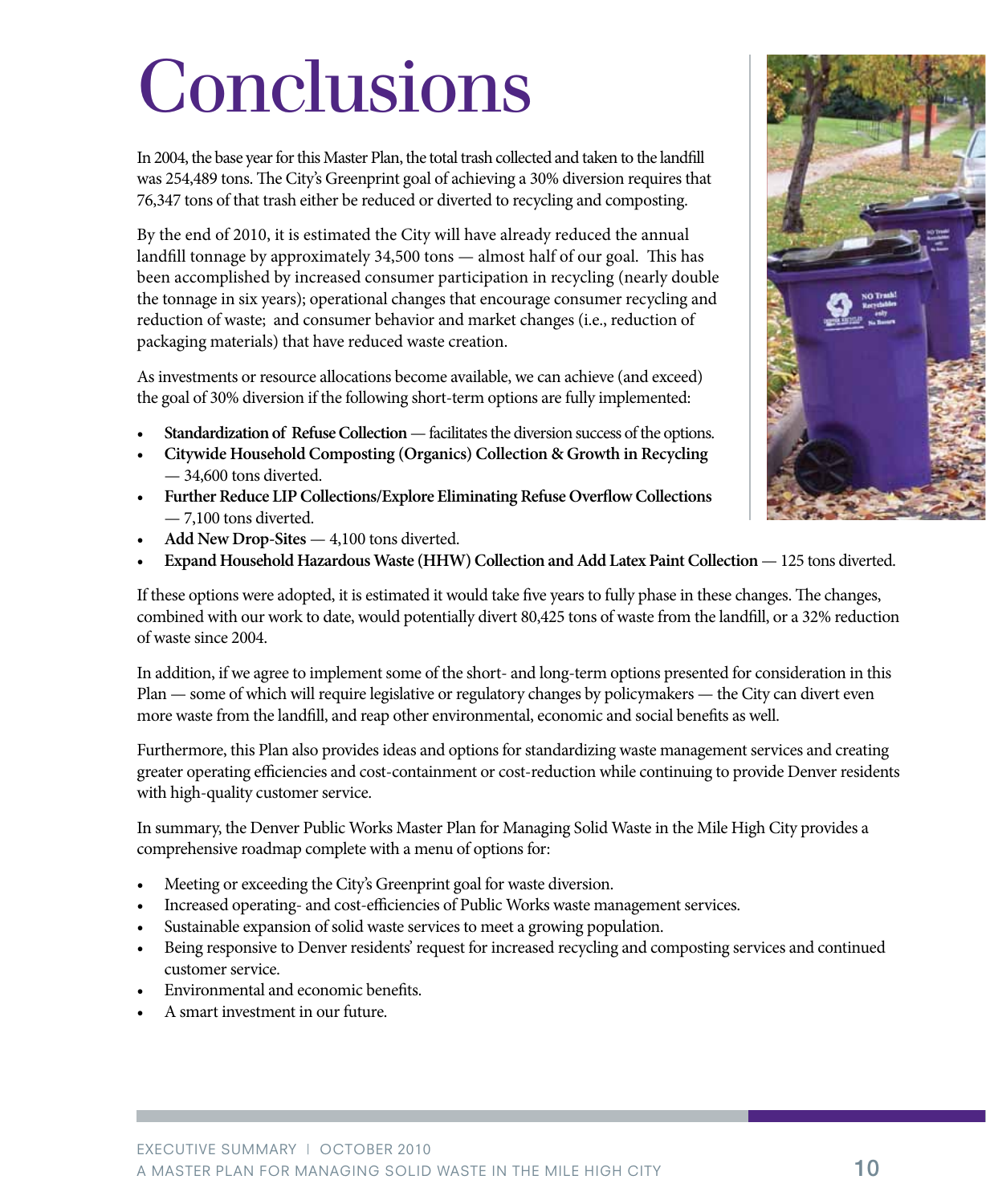# Conclusions

In 2004, the base year for this Master Plan, the total trash collected and taken to the landfill was 254,489 tons. The City's Greenprint goal of achieving a 30% diversion requires that 76,347 tons of that trash either be reduced or diverted to recycling and composting.

By the end of 2010, it is estimated the City will have already reduced the annual landfill tonnage by approximately 34,500 tons — almost half of our goal. This has been accomplished by increased consumer participation in recycling (nearly double the tonnage in six years); operational changes that encourage consumer recycling and reduction of waste; and consumer behavior and market changes (i.e., reduction of packaging materials) that have reduced waste creation.

As investments or resource allocations become available, we can achieve (and exceed) the goal of 30% diversion if the following short-term options are fully implemented:

- Standardization of Refuse Collection facilitates the diversion success of the options.
- **Citywide Household Composting (Organics) Collection & Growth in Recycling** — 34,600 tons diverted.
- **Further Reduce LIP Collections/Explore Eliminating Refuse Overflow Collections** — 7,100 tons diverted.
- **Add New Drop-Sites** 4,100 tons diverted.
- **Expand Household Hazardous Waste (HHW) Collection and Add Latex Paint Collection** 125 tons diverted.

If these options were adopted, it is estimated it would take five years to fully phase in these changes. The changes, combined with our work to date, would potentially divert 80,425 tons of waste from the landfill, or a 32% reduction of waste since 2004.

In addition, if we agree to implement some of the short- and long-term options presented for consideration in this Plan — some of which will require legislative or regulatory changes by policymakers — the City can divert even more waste from the landfill, and reap other environmental, economic and social benefits as well.

Furthermore, this Plan also provides ideas and options for standardizing waste management services and creating greater operating efficiencies and cost-containment or cost-reduction while continuing to provide Denver residents with high-quality customer service.

In summary, the Denver Public Works Master Plan for Managing Solid Waste in the Mile High City provides a comprehensive roadmap complete with a menu of options for:

- Meeting or exceeding the City's Greenprint goal for waste diversion.
- Increased operating- and cost-efficiencies of Public Works waste management services.
- Sustainable expansion of solid waste services to meet a growing population.
- Being responsive to Denver residents' request for increased recycling and composting services and continued customer service.
- Environmental and economic benefits.
- A smart investment in our future.

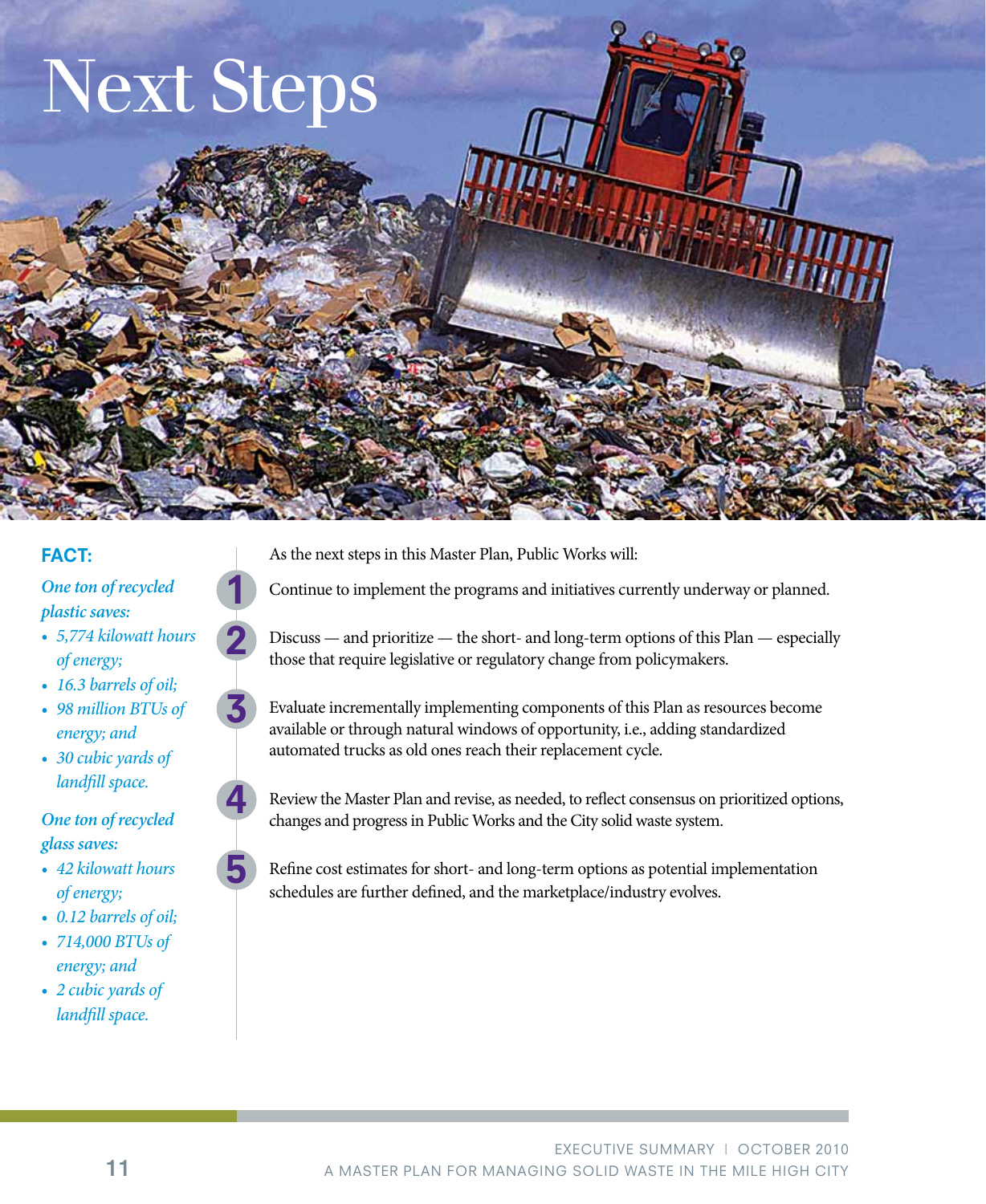

### FACT:

#### *One ton of recycled plastic saves:*

- *• 5,774 kilowatt hours of energy;*
- *• 16.3 barrels of oil;*
- *• 98 million BTUs of energy; and*
- *• 30 cubic yards of landfill space.*

## *One ton of recycled glass saves:*

- *• 42 kilowatt hours of energy;*
- *• 0.12 barrels of oil;*
- *• 714,000 BTUs of energy; and*
- *• 2 cubic yards of landfill space.*
- As the next steps in this Master Plan, Public Works will:
- Continue to implement the programs and initiatives currently underway or planned.
- Discuss and prioritize the short- and long-term options of this Plan especially those that require legislative or regulatory change from policymakers.
- Evaluate incrementally implementing components of this Plan as resources become available or through natural windows of opportunity, i.e., adding standardized automated trucks as old ones reach their replacement cycle.



5

1

2

3

Review the Master Plan and revise, as needed, to reflect consensus on prioritized options, changes and progress in Public Works and the City solid waste system.

Refine cost estimates for short- and long-term options as potential implementation schedules are further defined, and the marketplace/industry evolves.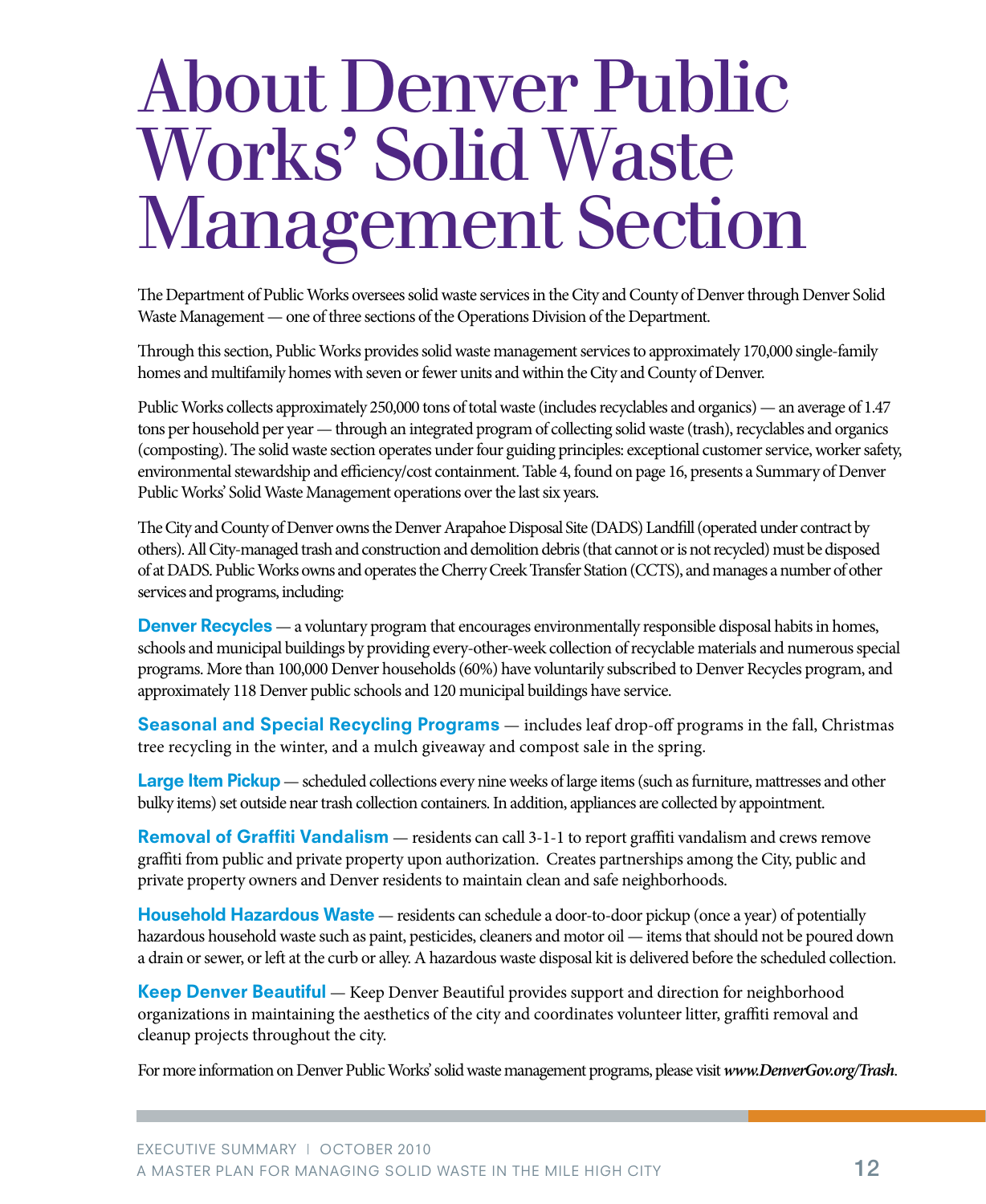# About Denver Public Works' Solid Waste Management Section

The Department of Public Works oversees solid waste services in the City and County of Denver through Denver Solid Waste Management — one of three sections of the Operations Division of the Department.

Through this section, Public Works provides solid waste management services to approximately 170,000 single-family homes and multifamily homes with seven or fewer units and within the City and County of Denver.

Public Works collects approximately 250,000 tons of total waste (includes recyclables and organics) — an average of 1.47 tons per household per year — through an integrated program of collecting solid waste (trash), recyclables and organics (composting). The solid waste section operates under four guiding principles: exceptional customer service, worker safety, environmental stewardship and efficiency/cost containment. Table 4, found on page 16, presents a Summary of Denver Public Works' Solid Waste Management operations over the last six years.

The City and County of Denver owns the Denver Arapahoe Disposal Site (DADS) Landfill (operated under contract by others). All City-managed trash and construction and demolition debris (that cannot or is not recycled) must be disposed of at DADS. Public Works owns and operates the Cherry Creek Transfer Station (CCTS), and manages a number of other services and programs, including:

**Denver Recycles** — a voluntary program that encourages environmentally responsible disposal habits in homes, schools and municipal buildings by providing every-other-week collection of recyclable materials and numerous special programs. More than 100,000 Denver households (60%) have voluntarily subscribed to Denver Recycles program, and approximately 118 Denver public schools and 120 municipal buildings have service.

Seasonal and Special Recycling Programs - includes leaf drop-off programs in the fall, Christmas tree recycling in the winter, and a mulch giveaway and compost sale in the spring.

Large Item Pickup — scheduled collections every nine weeks of large items (such as furniture, mattresses and other bulky items) set outside near trash collection containers. In addition, appliances are collected by appointment.

Removal of Graffiti Vandalism — residents can call 3-1-1 to report graffiti vandalism and crews remove graffiti from public and private property upon authorization. Creates partnerships among the City, public and private property owners and Denver residents to maintain clean and safe neighborhoods.

**Household Hazardous Waste** — residents can schedule a door-to-door pickup (once a year) of potentially hazardous household waste such as paint, pesticides, cleaners and motor oil — items that should not be poured down a drain or sewer, or left at the curb or alley. A hazardous waste disposal kit is delivered before the scheduled collection.

**Keep Denver Beautiful** — Keep Denver Beautiful provides support and direction for neighborhood organizations in maintaining the aesthetics of the city and coordinates volunteer litter, graffiti removal and cleanup projects throughout the city.

For more information on Denver Public Works' solid waste management programs, please visit *www.DenverGov.org/Trash*.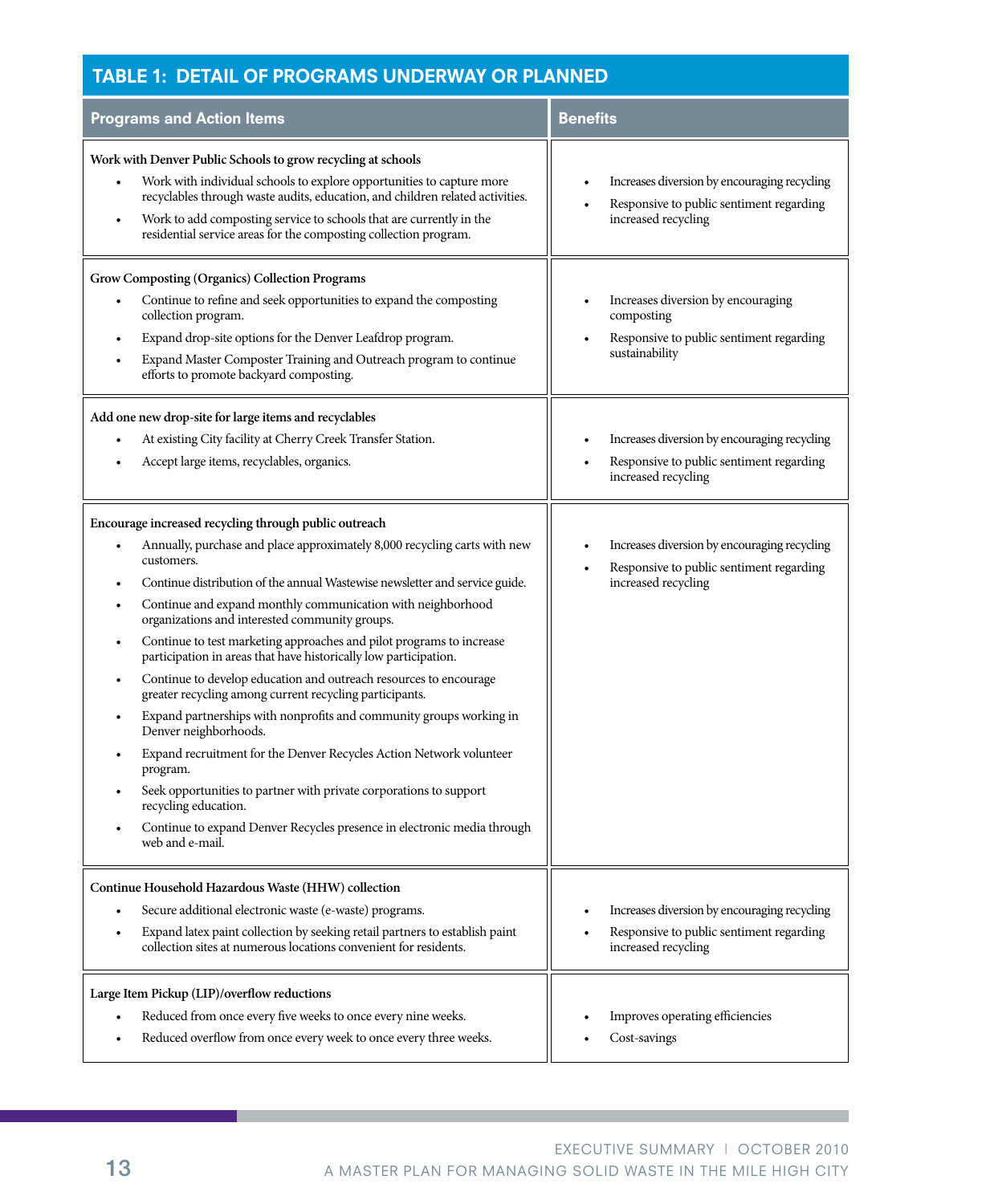## Table 1: Detail of Programs Underway or Planned

| <b>Programs and Action Items</b>                                                                                                                                                                                                                                                                                                                                                                                                                                                                                                                                                                                                                                                                                                                                                                                                                                                                                                                                                                            | <b>Benefits</b>                                                                                                 |
|-------------------------------------------------------------------------------------------------------------------------------------------------------------------------------------------------------------------------------------------------------------------------------------------------------------------------------------------------------------------------------------------------------------------------------------------------------------------------------------------------------------------------------------------------------------------------------------------------------------------------------------------------------------------------------------------------------------------------------------------------------------------------------------------------------------------------------------------------------------------------------------------------------------------------------------------------------------------------------------------------------------|-----------------------------------------------------------------------------------------------------------------|
| Work with Denver Public Schools to grow recycling at schools<br>Work with individual schools to explore opportunities to capture more<br>recyclables through waste audits, education, and children related activities.<br>Work to add composting service to schools that are currently in the<br>residential service areas for the composting collection program.                                                                                                                                                                                                                                                                                                                                                                                                                                                                                                                                                                                                                                           | Increases diversion by encouraging recycling<br>Responsive to public sentiment regarding<br>increased recycling |
| Grow Composting (Organics) Collection Programs<br>Continue to refine and seek opportunities to expand the composting<br>collection program.<br>Expand drop-site options for the Denver Leafdrop program.<br>Expand Master Composter Training and Outreach program to continue<br>efforts to promote backyard composting.                                                                                                                                                                                                                                                                                                                                                                                                                                                                                                                                                                                                                                                                                    | Increases diversion by encouraging<br>composting<br>Responsive to public sentiment regarding<br>sustainability  |
| Add one new drop-site for large items and recyclables<br>At existing City facility at Cherry Creek Transfer Station.<br>Accept large items, recyclables, organics.                                                                                                                                                                                                                                                                                                                                                                                                                                                                                                                                                                                                                                                                                                                                                                                                                                          | Increases diversion by encouraging recycling<br>Responsive to public sentiment regarding<br>increased recycling |
| Encourage increased recycling through public outreach<br>Annually, purchase and place approximately 8,000 recycling carts with new<br>customers.<br>Continue distribution of the annual Wastewise newsletter and service guide.<br>Continue and expand monthly communication with neighborhood<br>organizations and interested community groups.<br>Continue to test marketing approaches and pilot programs to increase<br>participation in areas that have historically low participation.<br>Continue to develop education and outreach resources to encourage<br>greater recycling among current recycling participants.<br>Expand partnerships with nonprofits and community groups working in<br>Denver neighborhoods.<br>Expand recruitment for the Denver Recycles Action Network volunteer<br>program.<br>Seek opportunities to partner with private corporations to support<br>recycling education.<br>Continue to expand Denver Recycles presence in electronic media through<br>web and e-mail. | Increases diversion by encouraging recycling<br>Responsive to public sentiment regarding<br>increased recycling |
| Continue Household Hazardous Waste (HHW) collection<br>Secure additional electronic waste (e-waste) programs.<br>Expand latex paint collection by seeking retail partners to establish paint<br>collection sites at numerous locations convenient for residents.                                                                                                                                                                                                                                                                                                                                                                                                                                                                                                                                                                                                                                                                                                                                            | Increases diversion by encouraging recycling<br>Responsive to public sentiment regarding<br>increased recycling |
| Large Item Pickup (LIP)/overflow reductions<br>Reduced from once every five weeks to once every nine weeks.<br>Reduced overflow from once every week to once every three weeks.                                                                                                                                                                                                                                                                                                                                                                                                                                                                                                                                                                                                                                                                                                                                                                                                                             | Improves operating efficiencies<br>Cost-savings                                                                 |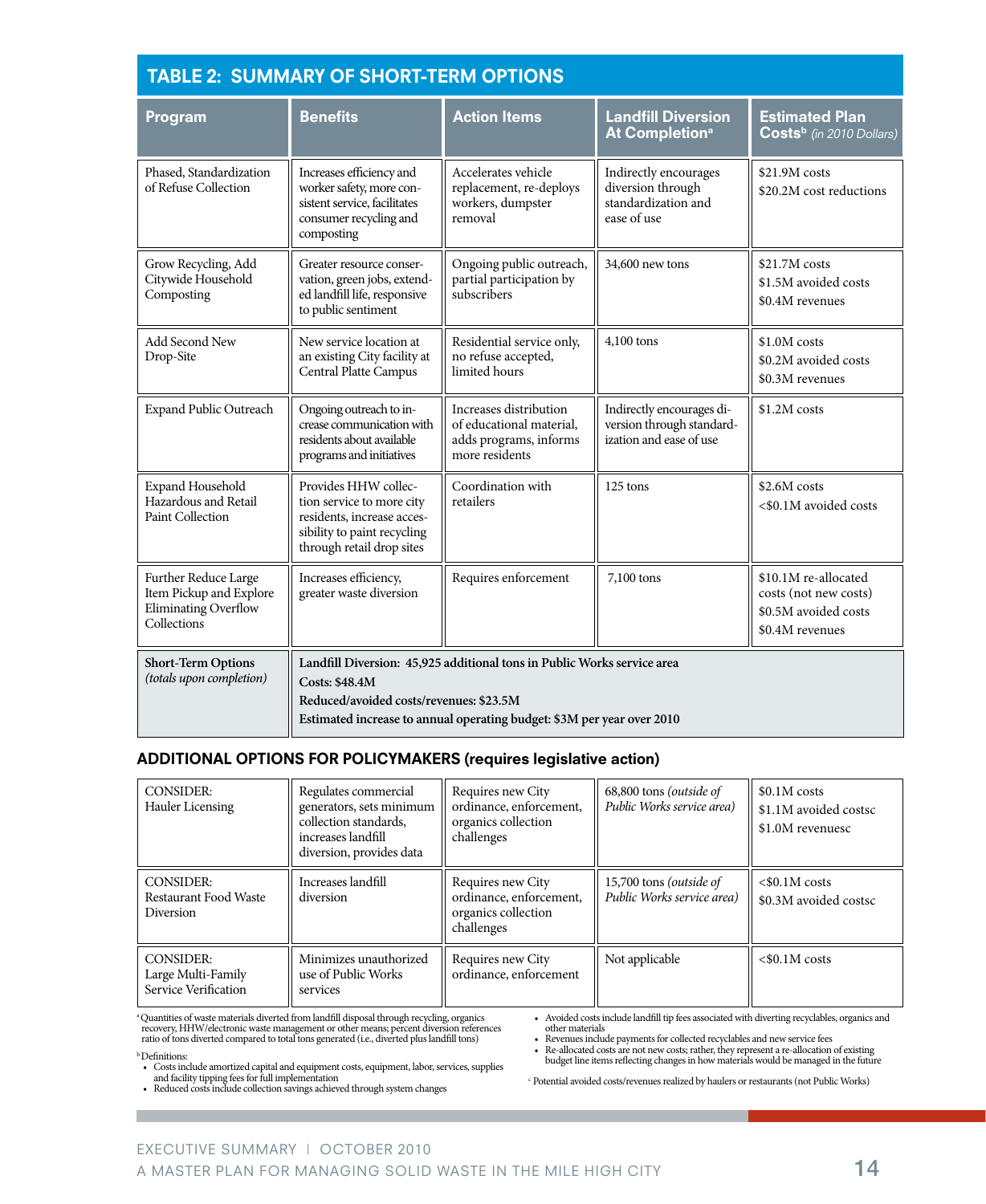| <b>TABLE 2: SUMMARY OF SHORT-TERM OPTIONS</b>                                          |                                                                                                                                             |                                                                                                                                                   |                                                                                   |                                                                                          |  |  |  |
|----------------------------------------------------------------------------------------|---------------------------------------------------------------------------------------------------------------------------------------------|---------------------------------------------------------------------------------------------------------------------------------------------------|-----------------------------------------------------------------------------------|------------------------------------------------------------------------------------------|--|--|--|
| Program                                                                                | <b>Benefits</b>                                                                                                                             | <b>Action Items</b><br><b>Landfill Diversion</b><br><b>At Completion<sup>a</sup></b>                                                              |                                                                                   | <b>Estimated Plan</b><br>Costs <sup>b</sup> (in 2010 Dollars)                            |  |  |  |
| Phased, Standardization<br>of Refuse Collection                                        | Increases efficiency and<br>worker safety, more con-<br>sistent service, facilitates<br>consumer recycling and<br>composting                | Accelerates vehicle<br>replacement, re-deploys<br>workers, dumpster<br>removal                                                                    | Indirectly encourages<br>diversion through<br>standardization and<br>ease of use  | \$21.9M costs<br>\$20.2M cost reductions                                                 |  |  |  |
| Grow Recycling, Add<br>Citywide Household<br>Composting                                | Greater resource conser-<br>vation, green jobs, extend-<br>ed landfill life, responsive<br>to public sentiment                              | Ongoing public outreach,<br>partial participation by<br>subscribers                                                                               | 34,600 new tons                                                                   | \$21.7M costs<br>\$1.5M avoided costs<br>\$0.4M revenues                                 |  |  |  |
| Add Second New<br>Drop-Site                                                            | New service location at<br>an existing City facility at<br>Central Platte Campus                                                            | Residential service only,<br>no refuse accepted,<br>limited hours                                                                                 | 4,100 tons                                                                        | \$1.0M costs<br>\$0.2M avoided costs<br>\$0.3M revenues                                  |  |  |  |
| Expand Public Outreach                                                                 | Ongoing outreach to in-<br>crease communication with<br>residents about available<br>programs and initiatives                               | Increases distribution<br>of educational material,<br>adds programs, informs<br>more residents                                                    | Indirectly encourages di-<br>version through standard-<br>ization and ease of use | \$1.2M costs                                                                             |  |  |  |
| Expand Household<br>Hazardous and Retail<br>Paint Collection                           | Provides HHW collec-<br>tion service to more city<br>residents, increase acces-<br>sibility to paint recycling<br>through retail drop sites | Coordination with<br>retailers                                                                                                                    | 125 tons                                                                          | $$2.6M \ncosts$<br><\$0.1M avoided costs                                                 |  |  |  |
| Further Reduce Large<br>Item Pickup and Explore<br>Eliminating Overflow<br>Collections | Increases efficiency,<br>greater waste diversion                                                                                            | Requires enforcement                                                                                                                              | 7,100 tons                                                                        | \$10.1M re-allocated<br>costs (not new costs)<br>\$0.5M avoided costs<br>\$0.4M revenues |  |  |  |
| <b>Short-Term Options</b><br>(totals upon completion)                                  | <b>Costs: \$48.4M</b><br>Reduced/avoided costs/revenues: \$23.5M                                                                            | Landfill Diversion: 45,925 additional tons in Public Works service area<br>Estimated increase to annual operating budget: \$3M per year over 2010 |                                                                                   |                                                                                          |  |  |  |

#### ADDITIONAL OPTIONS FOR POLICYMAKERS (requires legislative action)

| <b>CONSIDER:</b>                           | Regulates commercial                                                    | Requires new City                                            | 68,800 tons (outside of         | $$0.1M \text{ costs}$                     |
|--------------------------------------------|-------------------------------------------------------------------------|--------------------------------------------------------------|---------------------------------|-------------------------------------------|
| Hauler Licensing                           | generators, sets minimum<br>collection standards.<br>increases landfill | ordinance, enforcement,<br>organics collection<br>challenges | Public Works service area)      | \$1.1M avoided costsc<br>\$1.0M revenuesc |
|                                            | diversion, provides data                                                |                                                              |                                 |                                           |
| <b>CONSIDER:</b>                           | Increases landfill                                                      | Requires new City                                            | 15,700 tons ( <i>outside of</i> | $<$ \$0.1M costs                          |
| <b>Restaurant Food Waste</b><br>Diversion  | diversion                                                               | ordinance, enforcement,<br>organics collection<br>challenges | Public Works service area)      | \$0.3M avoided costsc                     |
| CONSIDER:                                  | Minimizes unauthorized<br>use of Public Works                           | Requires new City<br>ordinance, enforcement                  | Not applicable                  | $< $0.1M \text{ costs}$                   |
| Large Multi-Family<br>Service Verification | services                                                                |                                                              |                                 |                                           |

<sup>4</sup>Quantities of waste materials diverted from landfill disposal through recycling, organics<br>recovery, HHW/electronic waste management or other means; percent diversion references<br>ratio of tons diverted compared to total t

• Avoided costs include landfill tip fees associated with diverting recyclables, organics and other materials

• Revenues include payments for collected recyclables and new service fees

• Re-allocated costs are not new costs; rather, they represent a re-allocation of existing budget line items reflecting changes in how materials would be managed in the future

• Costs include amortized capital and equipment costs, equipment, labor, services, supplies<br>and facility tipping fees for full implementation<br>• Reduced costs include collection savings achieved through system changes

b Definitions:

c Potential avoided costs/revenues realized by haulers or restaurants (not Public Works)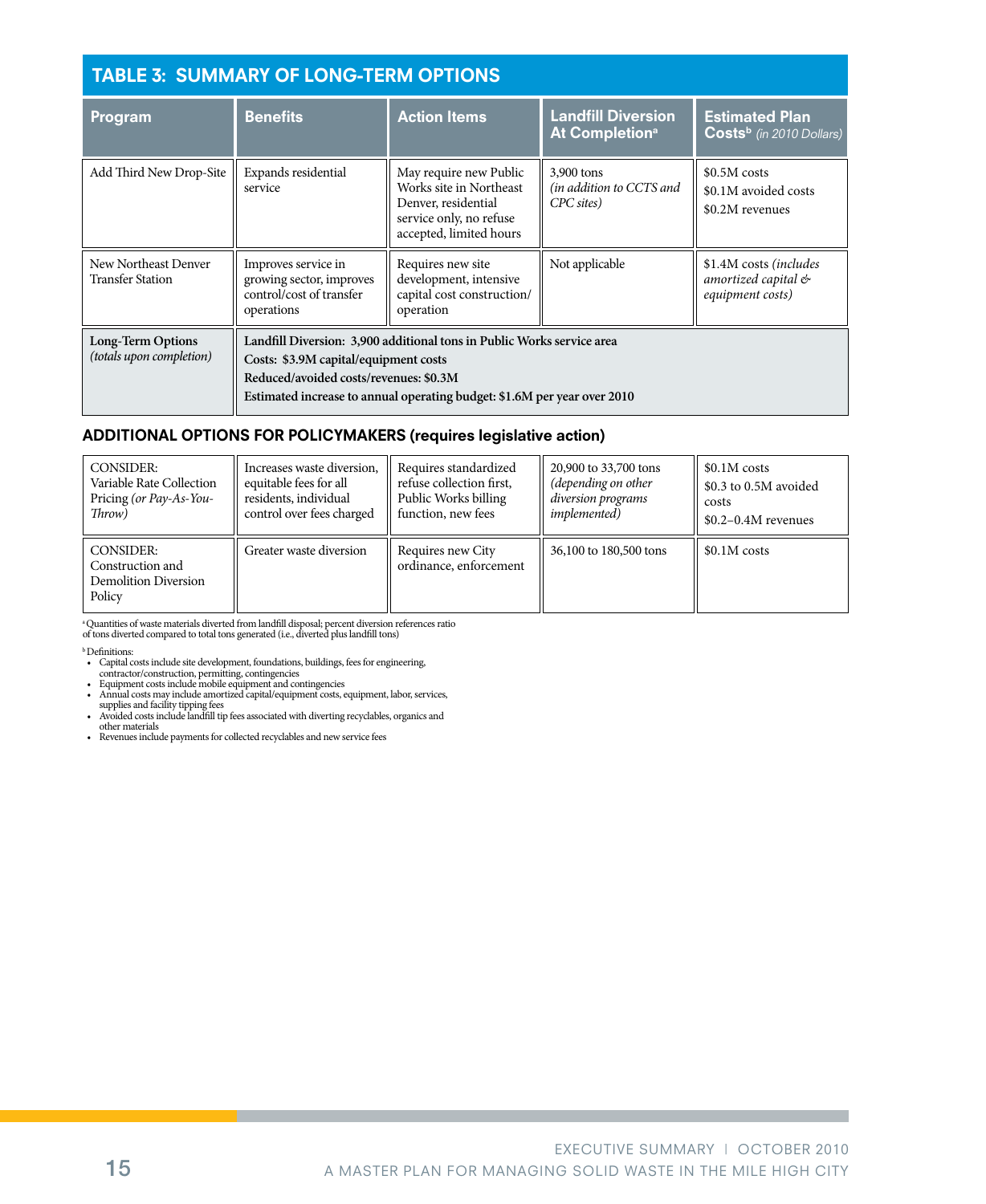### Table 3: Summary of Long-Term Options

| Program                                       | <b>Benefits</b>                                                                                                                                                                                                                       | <b>Action Items</b>                                                                                                            | <b>Landfill Diversion</b><br>At Completion <sup>a</sup> | <b>Estimated Plan</b><br>Costs <sup>b</sup> (in 2010 Dollars)     |  |  |
|-----------------------------------------------|---------------------------------------------------------------------------------------------------------------------------------------------------------------------------------------------------------------------------------------|--------------------------------------------------------------------------------------------------------------------------------|---------------------------------------------------------|-------------------------------------------------------------------|--|--|
| Add Third New Drop-Site                       | Expands residential<br>service                                                                                                                                                                                                        | May require new Public<br>Works site in Northeast<br>Denver, residential<br>service only, no refuse<br>accepted, limited hours | 3,900 tons<br>(in addition to CCTS and<br>CPC sites)    | \$0.5M costs<br>\$0.1M avoided costs<br>\$0.2M revenues           |  |  |
| New Northeast Denver<br>Transfer Station      | Improves service in<br>growing sector, improves<br>control/cost of transfer<br>operations                                                                                                                                             | Requires new site<br>development, intensive<br>capital cost construction/<br>operation                                         | Not applicable                                          | \$1.4M costs (includes<br>amortized capital &<br>equipment costs) |  |  |
| Long-Term Options<br>(totals upon completion) | Landfill Diversion: 3,900 additional tons in Public Works service area<br>Costs: \$3.9M capital/equipment costs<br>Reduced/avoided costs/revenues: \$0.3M<br>Estimated increase to annual operating budget: \$1.6M per year over 2010 |                                                                                                                                |                                                         |                                                                   |  |  |

#### ADDITIONAL OPTIONS FOR POLICYMAKERS (requires legislative action)

| <b>CONSIDER:</b>                                                       | Increases waste diversion, | Requires standardized                       | 20,900 to 33,700 tons  | $$0.1M \ncosts$       |
|------------------------------------------------------------------------|----------------------------|---------------------------------------------|------------------------|-----------------------|
| Variable Rate Collection                                               | equitable fees for all     | refuse collection first.                    | (depending on other    | \$0.3 to 0.5M avoided |
| Pricing (or Pay-As-You-                                                | residents, individual      | Public Works billing                        | diversion programs     | costs                 |
| Throw)                                                                 | control over fees charged  | function, new fees                          | <i>implemented</i> )   | $$0.2-0.4M$ revenues  |
| <b>CONSIDER:</b><br>Construction and<br>Demolition Diversion<br>Policy | Greater waste diversion    | Requires new City<br>ordinance, enforcement | 36,100 to 180,500 tons | \$0.1M costs          |

a Quantities of waste materials diverted from landfill disposal; percent diversion references ratio of tons diverted compared to total tons generated (i.e., diverted plus landfill tons)

**b** Definitions:

- Capital costs include site development, foundations, buildings, fees for engineering,
- 
- 
- contractor/construction, permitting, contingencies Equipment costs include mobile equipment and contingencies Annual costs may include amortized capital/equipment costs, equipment, labor, services,
- supplies and facility tipping fees<br>• Avoided costs include landfill tip fees associated with diverting recyclables, organics and<br>other materials
- Revenues include payments for collected recyclables and new service fees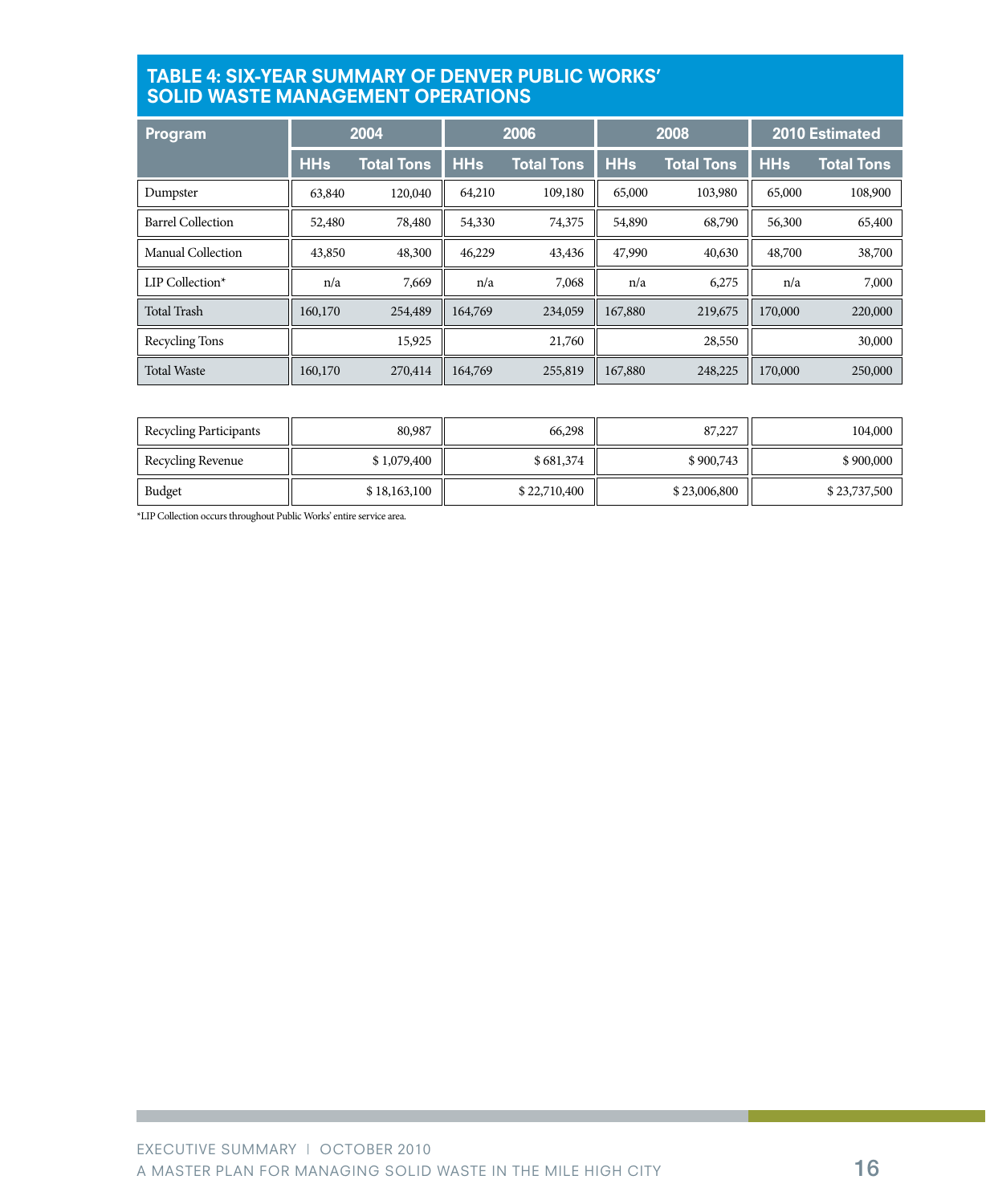#### Table 4: Six-Year Summary of Denver Public Works' **SOLID WASTE MANAGEMENT OP**

| <u> Pr</u> ogram         |            | 2004              | 2006       |                   | 2008       |                   | <b>2010 Estimated</b> |                   |
|--------------------------|------------|-------------------|------------|-------------------|------------|-------------------|-----------------------|-------------------|
|                          | <b>HHs</b> | <b>Total Tons</b> | <b>HHs</b> | <b>Total Tons</b> | <b>HHs</b> | <b>Total Tons</b> | <b>HHs</b>            | <b>Total Tons</b> |
| Dumpster                 | 63,840     | 120,040           | 64,210     | 109,180           | 65,000     | 103,980           | 65,000                | 108,900           |
| <b>Barrel Collection</b> | 52,480     | 78,480            | 54,330     | 74,375            | 54,890     | 68,790            | 56,300                | 65,400            |
| Manual Collection        | 43,850     | 48,300            | 46,229     | 43,436            | 47,990     | 40,630            | 48,700                | 38,700            |
| LIP Collection*          | n/a        | 7,669             | n/a        | 7,068             | n/a        | 6,275             | n/a                   | 7,000             |
| <b>Total Trash</b>       | 160,170    | 254,489           | 164,769    | 234,059           | 167,880    | 219,675           | 170,000               | 220,000           |
| Recycling Tons           |            | 15,925            |            | 21,760            |            | 28,550            |                       | 30,000            |
| <b>Total Waste</b>       | 160,170    | 270,414           | 164,769    | 255,819           | 167,880    | 248,225           | 170,000               | 250,000           |

| Recycling Participants | 80,987       | 66,298       | 87,227       | 104,000      |
|------------------------|--------------|--------------|--------------|--------------|
| Recycling Revenue      | \$1,079,400  | \$681,374    | \$900,743    | \$900,000    |
| Budget                 | \$18,163,100 | \$22,710,400 | \$23,006,800 | \$23,737,500 |

\*LIP Collection occurs throughout Public Works' entire service area.